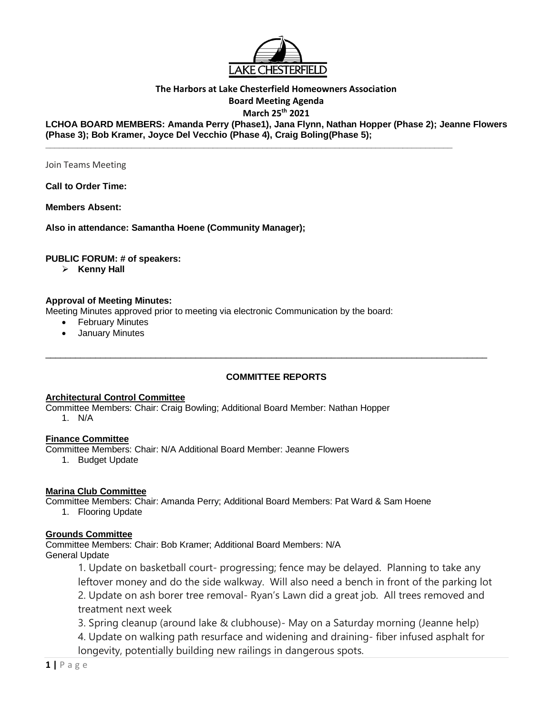

## **The Harbors at Lake Chesterfield Homeowners Association**

**Board Meeting Agenda**

**March 25th 2021**

**LCHOA BOARD MEMBERS: Amanda Perry (Phase1), Jana Flynn, Nathan Hopper (Phase 2); Jeanne Flowers (Phase 3); Bob Kramer, Joyce Del Vecchio (Phase 4), Craig Boling(Phase 5);**

**\_\_\_\_\_\_\_\_\_\_\_\_\_\_\_\_\_\_\_\_\_\_\_\_\_\_\_\_\_\_\_\_\_\_\_\_\_\_\_\_\_\_\_\_\_\_\_\_\_\_\_\_\_\_\_\_\_\_\_\_\_\_\_\_\_\_\_\_\_\_\_\_\_\_\_\_\_\_\_\_\_\_\_\_\_\_\_\_\_\_** 

Join Teams Meeting

**Call to Order Time:** 

**Members Absent:** 

**Also in attendance: Samantha Hoene (Community Manager);** 

#### **PUBLIC FORUM: # of speakers:**

➢ **Kenny Hall**

#### **Approval of Meeting Minutes:**

Meeting Minutes approved prior to meeting via electronic Communication by the board:

- **February Minutes**
- January Minutes

#### **COMMITTEE REPORTS**

 $\_$  ,  $\_$  ,  $\_$  ,  $\_$  ,  $\_$  ,  $\_$  ,  $\_$  ,  $\_$  ,  $\_$  ,  $\_$  ,  $\_$  ,  $\_$  ,  $\_$  ,  $\_$  ,  $\_$  ,  $\_$  ,  $\_$  ,  $\_$  ,  $\_$  ,  $\_$  ,  $\_$  ,  $\_$  ,  $\_$  ,  $\_$  ,  $\_$  ,  $\_$  ,  $\_$  ,  $\_$  ,  $\_$  ,  $\_$  ,  $\_$  ,  $\_$  ,  $\_$  ,  $\_$  ,  $\_$  ,  $\_$  ,  $\_$  ,

#### **Architectural Control Committee**

Committee Members: Chair: Craig Bowling; Additional Board Member: Nathan Hopper 1. N/A

#### **Finance Committee**

Committee Members: Chair: N/A Additional Board Member: Jeanne Flowers

1. Budget Update

#### **Marina Club Committee**

Committee Members: Chair: Amanda Perry; Additional Board Members: Pat Ward & Sam Hoene

1. Flooring Update

#### **Grounds Committee**

Committee Members: Chair: Bob Kramer; Additional Board Members: N/A General Update

> 1. Update on basketball court- progressing; fence may be delayed. Planning to take any leftover money and do the side walkway. Will also need a bench in front of the parking lot 2. Update on ash borer tree removal- Ryan's Lawn did a great job. All trees removed and treatment next week

3. Spring cleanup (around lake & clubhouse)- May on a Saturday morning (Jeanne help)

4. Update on walking path resurface and widening and draining- fiber infused asphalt for longevity, potentially building new railings in dangerous spots.